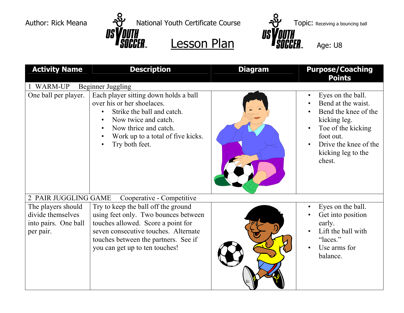US



| <b>Activity Name</b>                                                         | <b>Description</b>                                                                                                                                                                                                                  | <b>Diagram</b> | <b>Purpose/Coaching</b><br><b>Points</b>                                                                                                                                                              |
|------------------------------------------------------------------------------|-------------------------------------------------------------------------------------------------------------------------------------------------------------------------------------------------------------------------------------|----------------|-------------------------------------------------------------------------------------------------------------------------------------------------------------------------------------------------------|
| WARM-UP                                                                      | <b>Beginner Juggling</b>                                                                                                                                                                                                            |                |                                                                                                                                                                                                       |
| One ball per player.                                                         | Each player sitting down holds a ball<br>over his or her shoelaces.<br>Strike the ball and catch.<br>Now twice and catch.<br>Now thrice and catch.<br>Work up to a total of five kicks.<br>Try both feet.                           |                | Eyes on the ball.<br>$\bullet$<br>Bend at the waist.<br>Bend the knee of the<br>kicking leg.<br>Toe of the kicking<br>$\bullet$<br>foot out.<br>Drive the knee of the<br>kicking leg to the<br>chest. |
| 2 PAIR JUGGLING GAME                                                         | Cooperative - Competitive                                                                                                                                                                                                           |                |                                                                                                                                                                                                       |
| The players should<br>divide themselves<br>into pairs. One ball<br>per pair. | Try to keep the ball off the ground<br>using feet only. Two bounces between<br>touches allowed. Score a point for<br>seven consecutive touches. Alternate<br>touches between the partners. See if<br>you can get up to ten touches! |                | Eyes on the ball.<br>$\bullet$<br>Get into position<br>early.<br>Lift the ball with<br>$\bullet$<br>"laces."<br>Use arms for<br>balance.                                                              |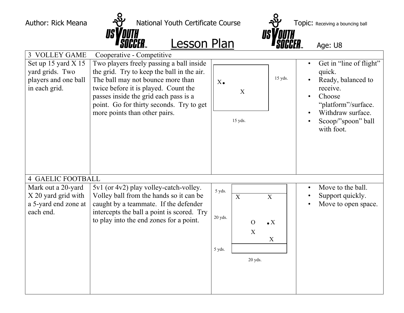US

## Author: Rick Meana  $\frac{1}{2}$  National Youth Certificate Course  $\frac{1}{2}$  Topic: Receiving a bouncing ball<br> **IS VOUTH**<br> **IS VOUTH IS VOUTH IS VOUTH Anational SOCCER LESSON Plan USYOUTH**<br>ER Lesson Plan Age: U8

| 3 VOLLEY GAME                                                                     | Cooperative - Competitive                                                                                                                                                                                                                                                                 |                             |                                                 |                                              |                                                                                                                                                                            |
|-----------------------------------------------------------------------------------|-------------------------------------------------------------------------------------------------------------------------------------------------------------------------------------------------------------------------------------------------------------------------------------------|-----------------------------|-------------------------------------------------|----------------------------------------------|----------------------------------------------------------------------------------------------------------------------------------------------------------------------------|
| Set up 15 yard $X$ 15<br>yard grids. Two<br>players and one ball<br>in each grid. | Two players freely passing a ball inside<br>the grid. Try to keep the ball in the air.<br>The ball may not bounce more than<br>twice before it is played. Count the<br>passes inside the grid each pass is a<br>point. Go for thirty seconds. Try to get<br>more points than other pairs. | $X\bullet$                  | $\mathbf X$<br>15 yds.                          | 15 yds.                                      | Get in "line of flight"<br>$\bullet$<br>quick.<br>Ready, balanced to<br>receive.<br>Choose<br>"platform"/surface.<br>Withdraw surface.<br>Scoop/"spoon" ball<br>with foot. |
| <b>4 GAELIC FOOTBALL</b>                                                          |                                                                                                                                                                                                                                                                                           |                             |                                                 |                                              |                                                                                                                                                                            |
| Mark out a 20-yard<br>X 20 yard grid with<br>a 5-yard end zone at<br>each end.    | 5v1 (or 4v2) play volley-catch-volley.<br>Volley ball from the hands so it can be<br>caught by a teammate. If the defender<br>intercepts the ball a point is scored. Try<br>to play into the end zones for a point.                                                                       | 5 yds.<br>20 yds.<br>5 yds. | $\mathbf X$<br>$\overline{O}$<br>X<br>$20$ yds. | $\overline{X}$<br>$\bullet X$<br>$\mathbf X$ | Move to the ball.<br>$\bullet$<br>Support quickly.<br>Move to open space.                                                                                                  |
|                                                                                   |                                                                                                                                                                                                                                                                                           |                             |                                                 |                                              |                                                                                                                                                                            |